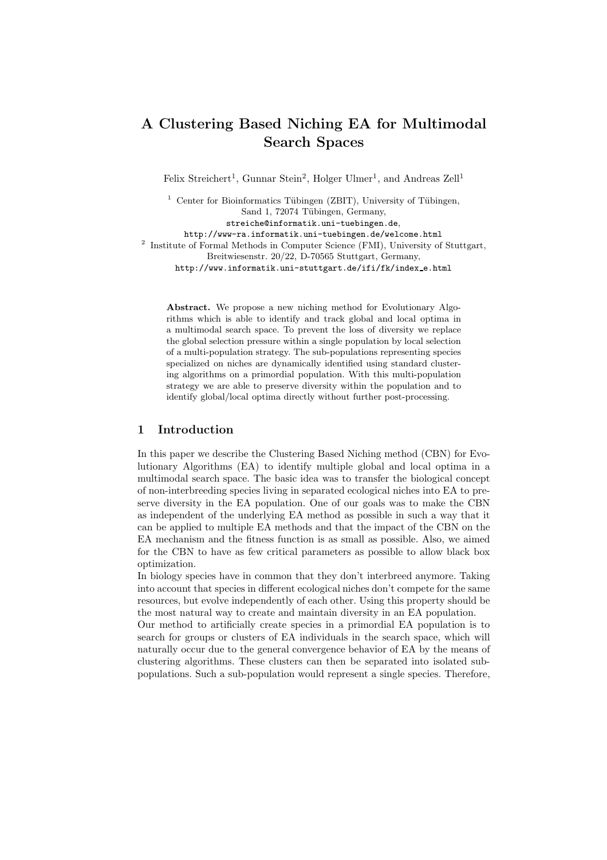# A Clustering Based Niching EA for Multimodal Search Spaces

Felix Streichert<sup>1</sup>, Gunnar Stein<sup>2</sup>, Holger Ulmer<sup>1</sup>, and Andreas Zell<sup>1</sup>

<sup>1</sup> Center for Bioinformatics Tübingen  $(ZBIT)$ , University of Tübingen, Sand 1, 72074 Tübingen, Germany, streiche@informatik.uni-tuebingen.de, http://www-ra.informatik.uni-tuebingen.de/welcome.html <sup>2</sup> Institute of Formal Methods in Computer Science (FMI), University of Stuttgart, Breitwiesenstr. 20/22, D-70565 Stuttgart, Germany, http://www.informatik.uni-stuttgart.de/ifi/fk/index e.html

Abstract. We propose a new niching method for Evolutionary Algorithms which is able to identify and track global and local optima in a multimodal search space. To prevent the loss of diversity we replace the global selection pressure within a single population by local selection of a multi-population strategy. The sub-populations representing species specialized on niches are dynamically identified using standard clustering algorithms on a primordial population. With this multi-population strategy we are able to preserve diversity within the population and to identify global/local optima directly without further post-processing.

## 1 Introduction

In this paper we describe the Clustering Based Niching method (CBN) for Evolutionary Algorithms (EA) to identify multiple global and local optima in a multimodal search space. The basic idea was to transfer the biological concept of non-interbreeding species living in separated ecological niches into EA to preserve diversity in the EA population. One of our goals was to make the CBN as independent of the underlying EA method as possible in such a way that it can be applied to multiple EA methods and that the impact of the CBN on the EA mechanism and the fitness function is as small as possible. Also, we aimed for the CBN to have as few critical parameters as possible to allow black box optimization.

In biology species have in common that they don't interbreed anymore. Taking into account that species in different ecological niches don't compete for the same resources, but evolve independently of each other. Using this property should be the most natural way to create and maintain diversity in an EA population.

Our method to artificially create species in a primordial EA population is to search for groups or clusters of EA individuals in the search space, which will naturally occur due to the general convergence behavior of EA by the means of clustering algorithms. These clusters can then be separated into isolated subpopulations. Such a sub-population would represent a single species. Therefore,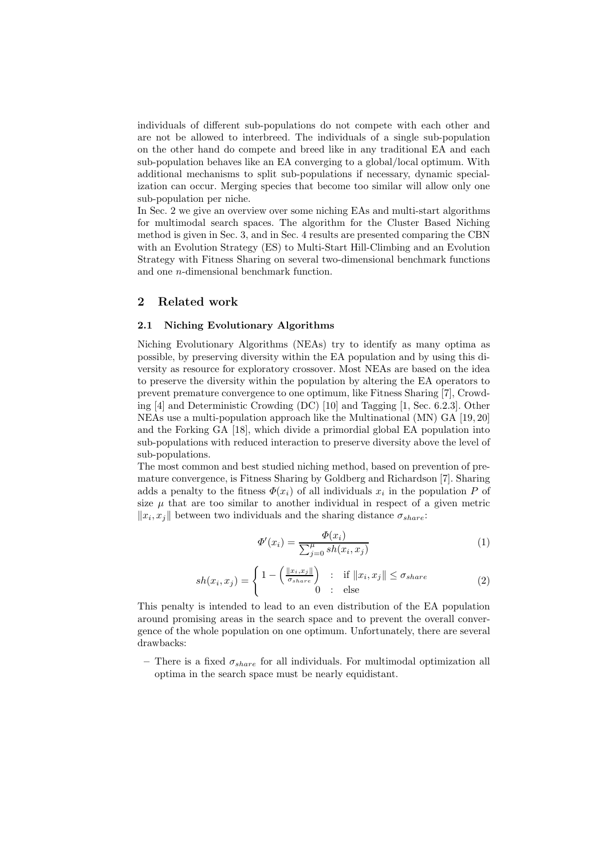individuals of different sub-populations do not compete with each other and are not be allowed to interbreed. The individuals of a single sub-population on the other hand do compete and breed like in any traditional EA and each sub-population behaves like an EA converging to a global/local optimum. With additional mechanisms to split sub-populations if necessary, dynamic specialization can occur. Merging species that become too similar will allow only one sub-population per niche.

In Sec. 2 we give an overview over some niching EAs and multi-start algorithms for multimodal search spaces. The algorithm for the Cluster Based Niching method is given in Sec. 3, and in Sec. 4 results are presented comparing the CBN with an Evolution Strategy (ES) to Multi-Start Hill-Climbing and an Evolution Strategy with Fitness Sharing on several two-dimensional benchmark functions and one n-dimensional benchmark function.

## 2 Related work

#### 2.1 Niching Evolutionary Algorithms

Niching Evolutionary Algorithms (NEAs) try to identify as many optima as possible, by preserving diversity within the EA population and by using this diversity as resource for exploratory crossover. Most NEAs are based on the idea to preserve the diversity within the population by altering the EA operators to prevent premature convergence to one optimum, like Fitness Sharing [7], Crowding [4] and Deterministic Crowding (DC) [10] and Tagging [1, Sec. 6.2.3]. Other NEAs use a multi-population approach like the Multinational (MN) GA [19, 20] and the Forking GA [18], which divide a primordial global EA population into sub-populations with reduced interaction to preserve diversity above the level of sub-populations.

The most common and best studied niching method, based on prevention of premature convergence, is Fitness Sharing by Goldberg and Richardson [7]. Sharing adds a penalty to the fitness  $\Phi(x_i)$  of all individuals  $x_i$  in the population P of size  $\mu$  that are too similar to another individual in respect of a given metric  $||x_i, x_j||$  between two individuals and the sharing distance  $\sigma_{share}$ .

$$
\Phi'(x_i) = \frac{\Phi(x_i)}{\sum_{j=0}^{\mu} sh(x_i, x_j)}
$$
(1)

$$
sh(x_i, x_j) = \begin{cases} 1 - \left(\frac{\|x_i, x_j\|}{\sigma_{share}}\right) & \text{: if } \|x_i, x_j\| \le \sigma_{share} \\ 0 & \text{: else} \end{cases}
$$
(2)

This penalty is intended to lead to an even distribution of the EA population around promising areas in the search space and to prevent the overall convergence of the whole population on one optimum. Unfortunately, there are several drawbacks:

– There is a fixed  $\sigma_{share}$  for all individuals. For multimodal optimization all optima in the search space must be nearly equidistant.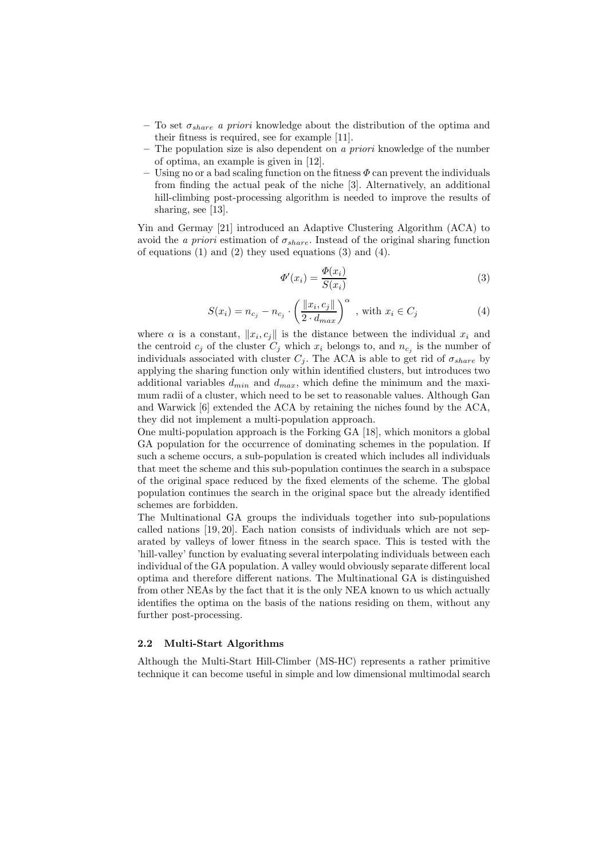- To set  $\sigma_{share}$  a priori knowledge about the distribution of the optima and their fitness is required, see for example [11].
- The population size is also dependent on a *priori* knowledge of the number of optima, an example is given in [12].
- Using no or a bad scaling function on the fitness  $\Phi$  can prevent the individuals from finding the actual peak of the niche [3]. Alternatively, an additional hill-climbing post-processing algorithm is needed to improve the results of sharing, see [13].

Yin and Germay [21] introduced an Adaptive Clustering Algorithm (ACA) to avoid the *a priori* estimation of  $\sigma_{share}$ . Instead of the original sharing function of equations  $(1)$  and  $(2)$  they used equations  $(3)$  and  $(4)$ .

$$
\Phi'(x_i) = \frac{\Phi(x_i)}{S(x_i)}\tag{3}
$$

$$
S(x_i) = n_{c_j} - n_{c_j} \cdot \left(\frac{\|x_i, c_j\|}{2 \cdot d_{max}}\right)^{\alpha} \text{, with } x_i \in C_j \tag{4}
$$

where  $\alpha$  is a constant,  $||x_i, c_j||$  is the distance between the individual  $x_i$  and the centroid  $c_j$  of the cluster  $C_j$  which  $x_i$  belongs to, and  $n_{c_j}$  is the number of individuals associated with cluster  $C_j$ . The ACA is able to get rid of  $\sigma_{share}$  by applying the sharing function only within identified clusters, but introduces two additional variables  $d_{min}$  and  $d_{max}$ , which define the minimum and the maximum radii of a cluster, which need to be set to reasonable values. Although Gan and Warwick [6] extended the ACA by retaining the niches found by the ACA, they did not implement a multi-population approach.

One multi-population approach is the Forking GA [18], which monitors a global GA population for the occurrence of dominating schemes in the population. If such a scheme occurs, a sub-population is created which includes all individuals that meet the scheme and this sub-population continues the search in a subspace of the original space reduced by the fixed elements of the scheme. The global population continues the search in the original space but the already identified schemes are forbidden.

The Multinational GA groups the individuals together into sub-populations called nations [19, 20]. Each nation consists of individuals which are not separated by valleys of lower fitness in the search space. This is tested with the 'hill-valley' function by evaluating several interpolating individuals between each individual of the GA population. A valley would obviously separate different local optima and therefore different nations. The Multinational GA is distinguished from other NEAs by the fact that it is the only NEA known to us which actually identifies the optima on the basis of the nations residing on them, without any further post-processing.

#### 2.2 Multi-Start Algorithms

Although the Multi-Start Hill-Climber (MS-HC) represents a rather primitive technique it can become useful in simple and low dimensional multimodal search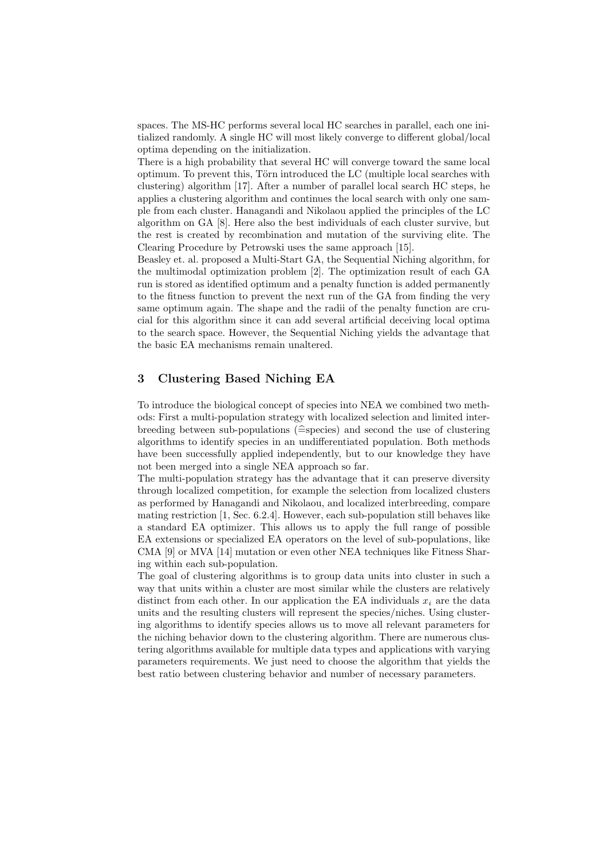spaces. The MS-HC performs several local HC searches in parallel, each one initialized randomly. A single HC will most likely converge to different global/local optima depending on the initialization.

There is a high probability that several HC will converge toward the same local optimum. To prevent this, Törn introduced the LC (multiple local searches with clustering) algorithm [17]. After a number of parallel local search HC steps, he applies a clustering algorithm and continues the local search with only one sample from each cluster. Hanagandi and Nikolaou applied the principles of the LC algorithm on GA [8]. Here also the best individuals of each cluster survive, but the rest is created by recombination and mutation of the surviving elite. The Clearing Procedure by Petrowski uses the same approach [15].

Beasley et. al. proposed a Multi-Start GA, the Sequential Niching algorithm, for the multimodal optimization problem [2]. The optimization result of each GA run is stored as identified optimum and a penalty function is added permanently to the fitness function to prevent the next run of the GA from finding the very same optimum again. The shape and the radii of the penalty function are crucial for this algorithm since it can add several artificial deceiving local optima to the search space. However, the Sequential Niching yields the advantage that the basic EA mechanisms remain unaltered.

# 3 Clustering Based Niching EA

To introduce the biological concept of species into NEA we combined two methods: First a multi-population strategy with localized selection and limited interbreeding between sub-populations ( $\widehat{\equiv}$  species) and second the use of clustering algorithms to identify species in an undifferentiated population. Both methods have been successfully applied independently, but to our knowledge they have not been merged into a single NEA approach so far.

The multi-population strategy has the advantage that it can preserve diversity through localized competition, for example the selection from localized clusters as performed by Hanagandi and Nikolaou, and localized interbreeding, compare mating restriction [1, Sec. 6.2.4]. However, each sub-population still behaves like a standard EA optimizer. This allows us to apply the full range of possible EA extensions or specialized EA operators on the level of sub-populations, like CMA [9] or MVA [14] mutation or even other NEA techniques like Fitness Sharing within each sub-population.

The goal of clustering algorithms is to group data units into cluster in such a way that units within a cluster are most similar while the clusters are relatively distinct from each other. In our application the EA individuals  $x_i$  are the data units and the resulting clusters will represent the species/niches. Using clustering algorithms to identify species allows us to move all relevant parameters for the niching behavior down to the clustering algorithm. There are numerous clustering algorithms available for multiple data types and applications with varying parameters requirements. We just need to choose the algorithm that yields the best ratio between clustering behavior and number of necessary parameters.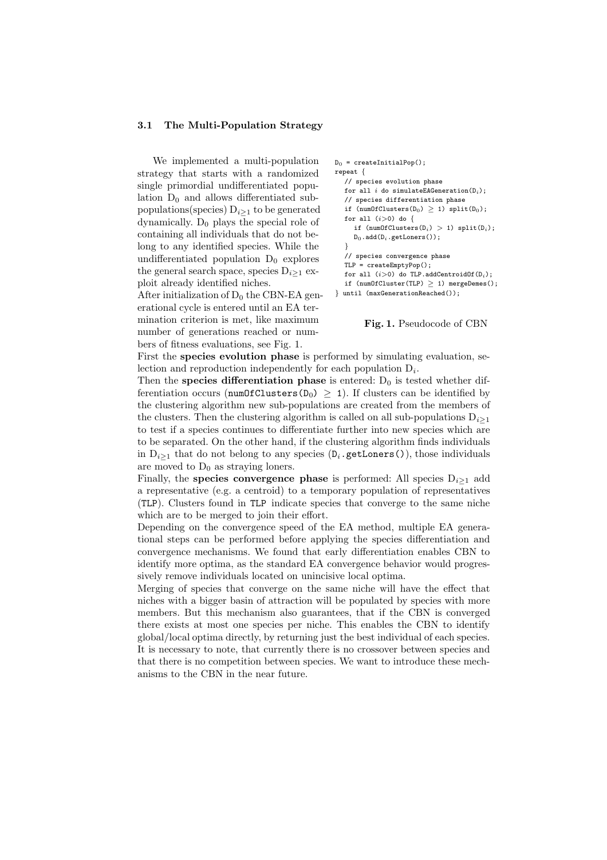#### 3.1 The Multi-Population Strategy

We implemented a multi-population  $D_0 = \text{createInitialPop}(1)$ ; strategy that starts with a randomized single primordial undifferentiated population  $D_0$  and allows differentiated subpopulations(species)  $D_{i\geq 1}$  to be generated dynamically.  $D_0$  plays the special role of containing all individuals that do not belong to any identified species. While the undifferentiated population  $D_0$  explores the general search space, species  $D_{i>1}$  exploit already identified niches.

After initialization of  $D_0$  the CBN-EA generational cycle is entered until an EA termination criterion is met, like maximum number of generations reached or numbers of fitness evaluations, see Fig. 1.

```
repeat {
   // species evolution phase
   for all i do simulateEAGeneration(D_i);
   // species differentiation phase
   if (numOfClusters(D_0) \geq 1) split(D_0);
   for all (i>0) do {
     if (numOfClusters(D_i) > 1) split(D_i);
     \texttt{D}_0 . \texttt{add}(\texttt{D}_i \,.\, \texttt{getLoners} ( ) ) ;
   }
   // species convergence phase
   TLP = createEmptyPop();
   for all (i>0) do TLP.addCentroidOf(D_i);
   if (numOfCluster(TLP) \ge 1) mergeDemes();
} until (maxGenerationReached());
```

```
Fig. 1. Pseudocode of CBN
```
First the species evolution phase is performed by simulating evaluation, selection and reproduction independently for each population  $D_i$ .

Then the species differentiation phase is entered:  $D_0$  is tested whether differentiation occurs (numOfClusters(D<sub>0</sub>)  $\geq$  1). If clusters can be identified by the clustering algorithm new sub-populations are created from the members of the clusters. Then the clustering algorithm is called on all sub-populations  $D_{i>1}$ to test if a species continues to differentiate further into new species which are to be separated. On the other hand, if the clustering algorithm finds individuals in  $D_{i\geq 1}$  that do not belong to any species  $(D_i \cdot \text{getLoners}(\cdot))$ , those individuals are moved to  $D_0$  as straying loners.

Finally, the species convergence phase is performed: All species  $D_{i\geq 1}$  add a representative (e.g. a centroid) to a temporary population of representatives (TLP). Clusters found in TLP indicate species that converge to the same niche which are to be merged to join their effort.

Depending on the convergence speed of the EA method, multiple EA generational steps can be performed before applying the species differentiation and convergence mechanisms. We found that early differentiation enables CBN to identify more optima, as the standard EA convergence behavior would progressively remove individuals located on unincisive local optima.

Merging of species that converge on the same niche will have the effect that niches with a bigger basin of attraction will be populated by species with more members. But this mechanism also guarantees, that if the CBN is converged there exists at most one species per niche. This enables the CBN to identify global/local optima directly, by returning just the best individual of each species. It is necessary to note, that currently there is no crossover between species and that there is no competition between species. We want to introduce these mechanisms to the CBN in the near future.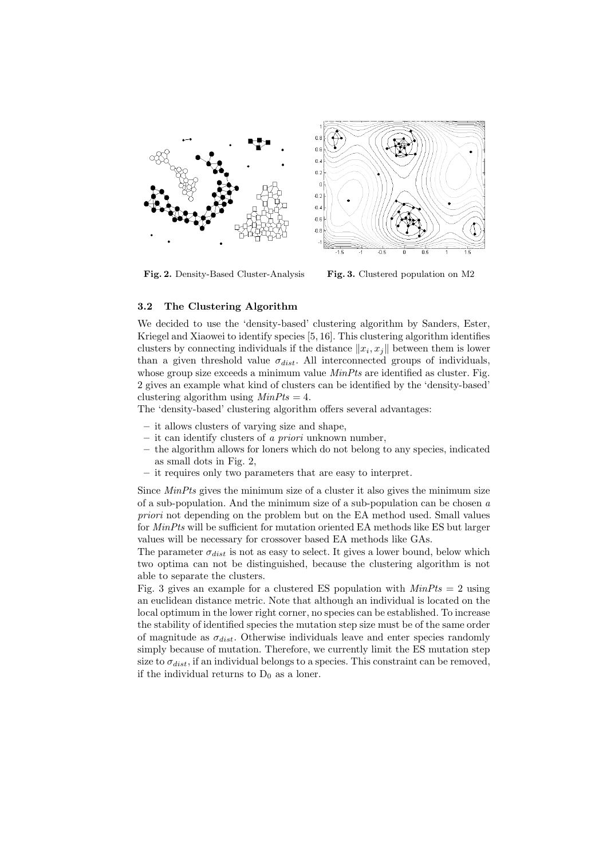

Fig. 2. Density-Based Cluster-Analysis Fig. 3. Clustered population on M2

### 3.2 The Clustering Algorithm

We decided to use the 'density-based' clustering algorithm by Sanders, Ester, Kriegel and Xiaowei to identify species [5, 16]. This clustering algorithm identifies clusters by connecting individuals if the distance  $||x_i, x_j||$  between them is lower than a given threshold value  $\sigma_{dist}$ . All interconnected groups of individuals, whose group size exceeds a minimum value  $MinPts$  are identified as cluster. Fig. 2 gives an example what kind of clusters can be identified by the 'density-based' clustering algorithm using  $MinPts = 4$ .

The 'density-based' clustering algorithm offers several advantages:

- it allows clusters of varying size and shape,
- it can identify clusters of a priori unknown number,
- the algorithm allows for loners which do not belong to any species, indicated as small dots in Fig. 2,
- it requires only two parameters that are easy to interpret.

Since  $MinPts$  gives the minimum size of a cluster it also gives the minimum size of a sub-population. And the minimum size of a sub-population can be chosen  $a$ priori not depending on the problem but on the EA method used. Small values for MinPts will be sufficient for mutation oriented EA methods like ES but larger values will be necessary for crossover based EA methods like GAs.

The parameter  $\sigma_{dist}$  is not as easy to select. It gives a lower bound, below which two optima can not be distinguished, because the clustering algorithm is not able to separate the clusters.

Fig. 3 gives an example for a clustered ES population with  $MinPts = 2$  using an euclidean distance metric. Note that although an individual is located on the local optimum in the lower right corner, no species can be established. To increase the stability of identified species the mutation step size must be of the same order of magnitude as  $\sigma_{dist}$ . Otherwise individuals leave and enter species randomly simply because of mutation. Therefore, we currently limit the ES mutation step size to  $\sigma_{dist}$ , if an individual belongs to a species. This constraint can be removed, if the individual returns to  $D_0$  as a loner.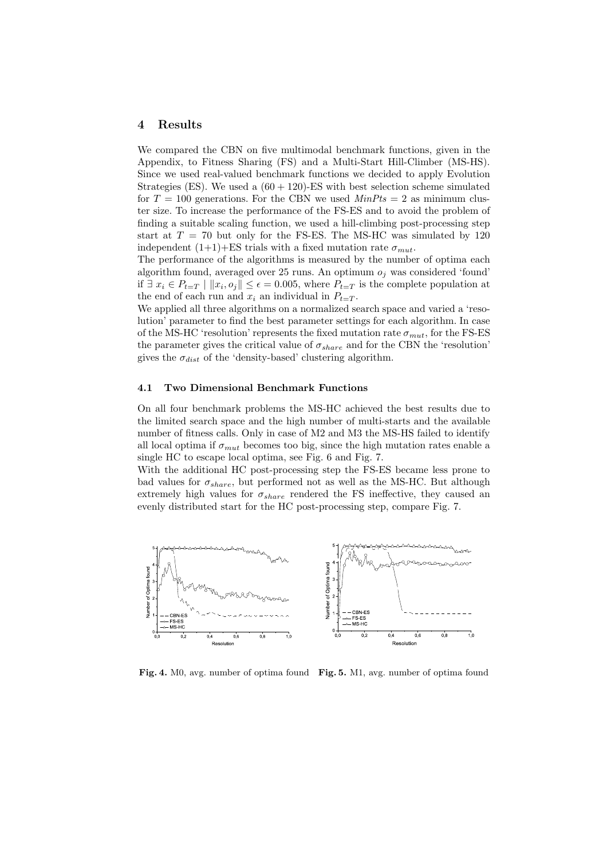## 4 Results

We compared the CBN on five multimodal benchmark functions, given in the Appendix, to Fitness Sharing (FS) and a Multi-Start Hill-Climber (MS-HS). Since we used real-valued benchmark functions we decided to apply Evolution Strategies (ES). We used a  $(60 + 120)$ -ES with best selection scheme simulated for  $T = 100$  generations. For the CBN we used  $MinPts = 2$  as minimum cluster size. To increase the performance of the FS-ES and to avoid the problem of finding a suitable scaling function, we used a hill-climbing post-processing step start at  $T = 70$  but only for the FS-ES. The MS-HC was simulated by 120 independent  $(1+1)+ES$  trials with a fixed mutation rate  $\sigma_{mut}$ .

The performance of the algorithms is measured by the number of optima each algorithm found, averaged over 25 runs. An optimum  $o_i$  was considered 'found' if  $\exists x_i \in P_{t=T} \mid ||x_i, o_j|| \le \epsilon = 0.005$ , where  $P_{t=T}$  is the complete population at the end of each run and  $x_i$  an individual in  $P_{t=T}$ .

We applied all three algorithms on a normalized search space and varied a 'resolution' parameter to find the best parameter settings for each algorithm. In case of the MS-HC 'resolution' represents the fixed mutation rate  $\sigma_{mut}$ , for the FS-ES the parameter gives the critical value of  $\sigma_{share}$  and for the CBN the 'resolution' gives the  $\sigma_{dist}$  of the 'density-based' clustering algorithm.

## 4.1 Two Dimensional Benchmark Functions

On all four benchmark problems the MS-HC achieved the best results due to the limited search space and the high number of multi-starts and the available number of fitness calls. Only in case of M2 and M3 the MS-HS failed to identify all local optima if  $\sigma_{mut}$  becomes too big, since the high mutation rates enable a single HC to escape local optima, see Fig. 6 and Fig. 7.

With the additional HC post-processing step the FS-ES became less prone to bad values for  $\sigma_{share}$ , but performed not as well as the MS-HC. But although extremely high values for  $\sigma_{share}$  rendered the FS ineffective, they caused an evenly distributed start for the HC post-processing step, compare Fig. 7.



Fig. 4. M0, avg. number of optima found Fig. 5. M1, avg. number of optima found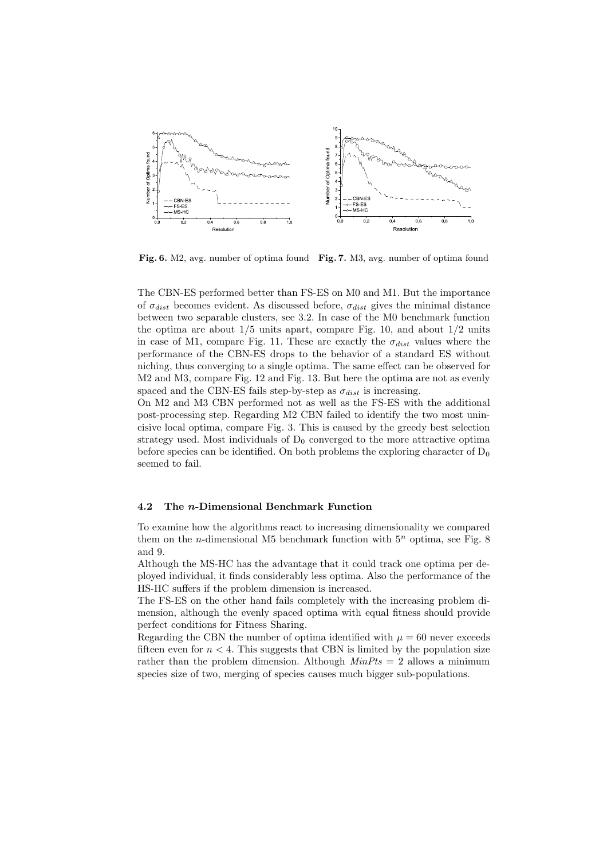

Fig. 6. M2, avg. number of optima found Fig. 7. M3, avg. number of optima found

The CBN-ES performed better than FS-ES on M0 and M1. But the importance of  $\sigma_{dist}$  becomes evident. As discussed before,  $\sigma_{dist}$  gives the minimal distance between two separable clusters, see 3.2. In case of the M0 benchmark function the optima are about  $1/5$  units apart, compare Fig. 10, and about  $1/2$  units in case of M1, compare Fig. 11. These are exactly the  $\sigma_{dist}$  values where the performance of the CBN-ES drops to the behavior of a standard ES without niching, thus converging to a single optima. The same effect can be observed for M2 and M3, compare Fig. 12 and Fig. 13. But here the optima are not as evenly spaced and the CBN-ES fails step-by-step as  $\sigma_{dist}$  is increasing.

On M2 and M3 CBN performed not as well as the FS-ES with the additional post-processing step. Regarding M2 CBN failed to identify the two most unincisive local optima, compare Fig. 3. This is caused by the greedy best selection strategy used. Most individuals of  $D_0$  converged to the more attractive optima before species can be identified. On both problems the exploring character of  $D_0$ seemed to fail.

## 4.2 The n-Dimensional Benchmark Function

To examine how the algorithms react to increasing dimensionality we compared them on the *n*-dimensional M5 benchmark function with  $5<sup>n</sup>$  optima, see Fig. 8 and 9.

Although the MS-HC has the advantage that it could track one optima per deployed individual, it finds considerably less optima. Also the performance of the HS-HC suffers if the problem dimension is increased.

The FS-ES on the other hand fails completely with the increasing problem dimension, although the evenly spaced optima with equal fitness should provide perfect conditions for Fitness Sharing.

Regarding the CBN the number of optima identified with  $\mu = 60$  never exceeds fifteen even for  $n < 4$ . This suggests that CBN is limited by the population size rather than the problem dimension. Although  $MinPts = 2$  allows a minimum species size of two, merging of species causes much bigger sub-populations.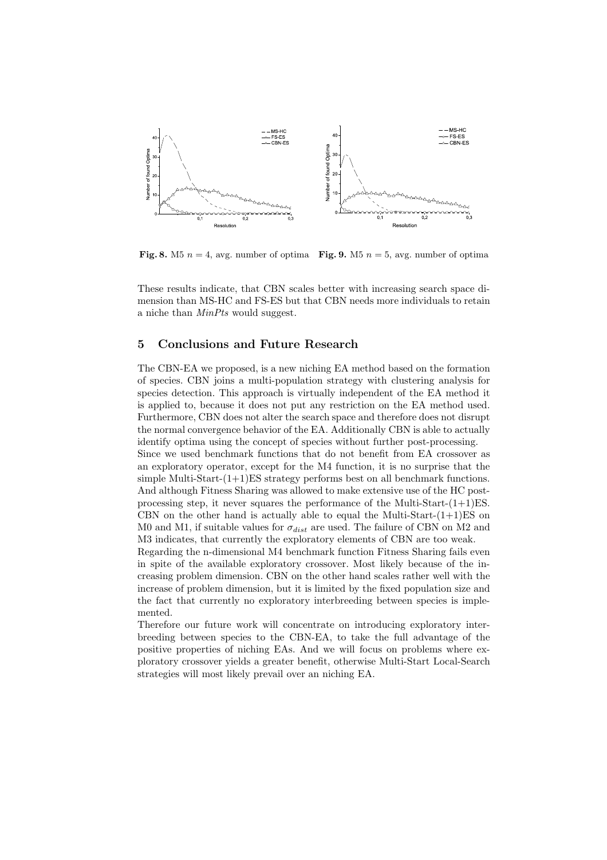

Fig. 8. M5  $n = 4$ , avg. number of optima Fig. 9. M5  $n = 5$ , avg. number of optima

These results indicate, that CBN scales better with increasing search space dimension than MS-HC and FS-ES but that CBN needs more individuals to retain a niche than MinPts would suggest.

# 5 Conclusions and Future Research

The CBN-EA we proposed, is a new niching EA method based on the formation of species. CBN joins a multi-population strategy with clustering analysis for species detection. This approach is virtually independent of the EA method it is applied to, because it does not put any restriction on the EA method used. Furthermore, CBN does not alter the search space and therefore does not disrupt the normal convergence behavior of the EA. Additionally CBN is able to actually identify optima using the concept of species without further post-processing.

Since we used benchmark functions that do not benefit from EA crossover as an exploratory operator, except for the M4 function, it is no surprise that the simple Multi-Start- $(1+1)$ ES strategy performs best on all benchmark functions. And although Fitness Sharing was allowed to make extensive use of the HC postprocessing step, it never squares the performance of the Multi-Start- $(1+1)ES$ . CBN on the other hand is actually able to equal the Multi-Start- $(1+1)ES$  on M0 and M1, if suitable values for  $\sigma_{dist}$  are used. The failure of CBN on M2 and M3 indicates, that currently the exploratory elements of CBN are too weak.

Regarding the n-dimensional M4 benchmark function Fitness Sharing fails even in spite of the available exploratory crossover. Most likely because of the increasing problem dimension. CBN on the other hand scales rather well with the increase of problem dimension, but it is limited by the fixed population size and the fact that currently no exploratory interbreeding between species is implemented.

Therefore our future work will concentrate on introducing exploratory interbreeding between species to the CBN-EA, to take the full advantage of the positive properties of niching EAs. And we will focus on problems where exploratory crossover yields a greater benefit, otherwise Multi-Start Local-Search strategies will most likely prevail over an niching EA.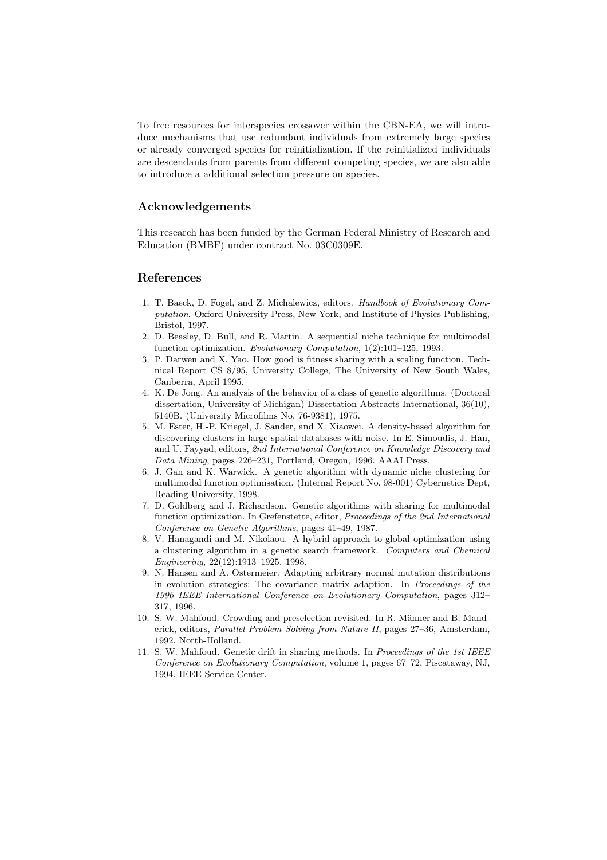To free resources for interspecies crossover within the CBN-EA, we will introduce mechanisms that use redundant individuals from extremely large species or already converged species for reinitialization. If the reinitialized individuals are descendants from parents from different competing species, we are also able to introduce a additional selection pressure on species.

## Acknowledgements

This research has been funded by the German Federal Ministry of Research and Education (BMBF) under contract No. 03C0309E.

# References

- 1. T. Baeck, D. Fogel, and Z. Michalewicz, editors. Handbook of Evolutionary Computation. Oxford University Press, New York, and Institute of Physics Publishing, Bristol, 1997.
- 2. D. Beasley, D. Bull, and R. Martin. A sequential niche technique for multimodal function optimization. Evolutionary Computation, 1(2):101–125, 1993.
- 3. P. Darwen and X. Yao. How good is fitness sharing with a scaling function. Technical Report CS 8/95, University College, The University of New South Wales, Canberra, April 1995.
- 4. K. De Jong. An analysis of the behavior of a class of genetic algorithms. (Doctoral dissertation, University of Michigan) Dissertation Abstracts International, 36(10), 5140B. (University Microfilms No. 76-9381), 1975.
- 5. M. Ester, H.-P. Kriegel, J. Sander, and X. Xiaowei. A density-based algorithm for discovering clusters in large spatial databases with noise. In E. Simoudis, J. Han, and U. Fayyad, editors, 2nd International Conference on Knowledge Discovery and Data Mining, pages 226–231, Portland, Oregon, 1996. AAAI Press.
- 6. J. Gan and K. Warwick. A genetic algorithm with dynamic niche clustering for multimodal function optimisation. (Internal Report No. 98-001) Cybernetics Dept, Reading University, 1998.
- 7. D. Goldberg and J. Richardson. Genetic algorithms with sharing for multimodal function optimization. In Grefenstette, editor, Proceedings of the 2nd International Conference on Genetic Algorithms, pages 41–49, 1987.
- 8. V. Hanagandi and M. Nikolaou. A hybrid approach to global optimization using a clustering algorithm in a genetic search framework. Computers and Chemical Engineering, 22(12):1913–1925, 1998.
- 9. N. Hansen and A. Ostermeier. Adapting arbitrary normal mutation distributions in evolution strategies: The covariance matrix adaption. In Proceedings of the 1996 IEEE International Conference on Evolutionary Computation, pages 312– 317, 1996.
- 10. S. W. Mahfoud. Crowding and preselection revisited. In R. Männer and B. Manderick, editors, Parallel Problem Solving from Nature II, pages 27–36, Amsterdam, 1992. North-Holland.
- 11. S. W. Mahfoud. Genetic drift in sharing methods. In Proceedings of the 1st IEEE Conference on Evolutionary Computation, volume 1, pages 67–72, Piscataway, NJ, 1994. IEEE Service Center.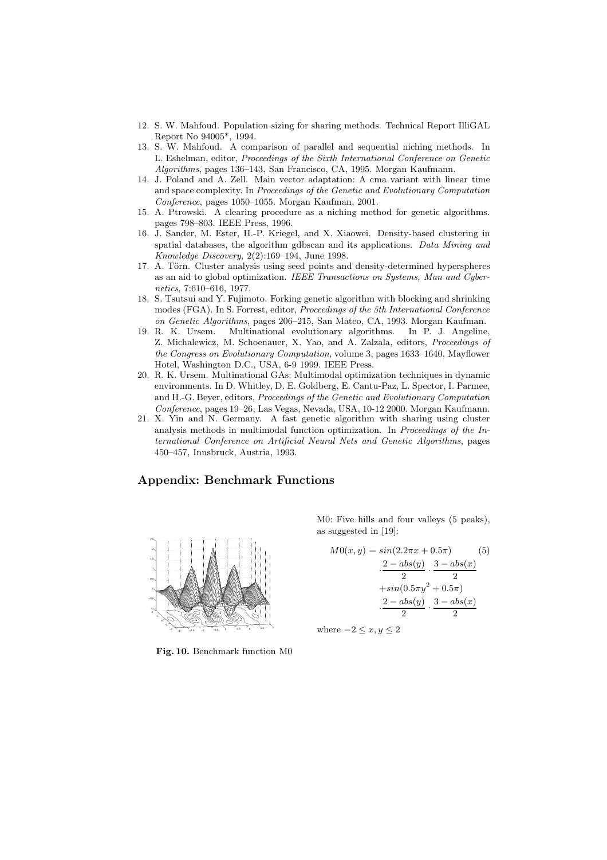- 12. S. W. Mahfoud. Population sizing for sharing methods. Technical Report IlliGAL Report No 94005\*, 1994.
- 13. S. W. Mahfoud. A comparison of parallel and sequential niching methods. In L. Eshelman, editor, Proceedings of the Sixth International Conference on Genetic Algorithms, pages 136–143, San Francisco, CA, 1995. Morgan Kaufmann.
- 14. J. Poland and A. Zell. Main vector adaptation: A cma variant with linear time and space complexity. In Proceedings of the Genetic and Evolutionary Computation Conference, pages 1050–1055. Morgan Kaufman, 2001.
- 15. A. Ptrowski. A clearing procedure as a niching method for genetic algorithms. pages 798–803. IEEE Press, 1996.
- 16. J. Sander, M. Ester, H.-P. Kriegel, and X. Xiaowei. Density-based clustering in spatial databases, the algorithm gdbscan and its applications. Data Mining and Knowledge Discovery, 2(2):169–194, June 1998.
- 17. A. Törn. Cluster analysis using seed points and density-determined hyperspheres as an aid to global optimization. IEEE Transactions on Systems, Man and Cybernetics, 7:610–616, 1977.
- 18. S. Tsutsui and Y. Fujimoto. Forking genetic algorithm with blocking and shrinking modes (FGA). In S. Forrest, editor, Proceedings of the 5th International Conference on Genetic Algorithms, pages 206–215, San Mateo, CA, 1993. Morgan Kaufman.
- 19. R. K. Ursem. Multinational evolutionary algorithms. In P. J. Angeline, Z. Michalewicz, M. Schoenauer, X. Yao, and A. Zalzala, editors, Proceedings of the Congress on Evolutionary Computation, volume 3, pages 1633–1640, Mayflower Hotel, Washington D.C., USA, 6-9 1999. IEEE Press.
- 20. R. K. Ursem. Multinational GAs: Multimodal optimization techniques in dynamic environments. In D. Whitley, D. E. Goldberg, E. Cantu-Paz, L. Spector, I. Parmee, and H.-G. Beyer, editors, Proceedings of the Genetic and Evolutionary Computation Conference, pages 19–26, Las Vegas, Nevada, USA, 10-12 2000. Morgan Kaufmann.
- 21. X. Yin and N. Germany. A fast genetic algorithm with sharing using cluster analysis methods in multimodal function optimization. In Proceedings of the International Conference on Artificial Neural Nets and Genetic Algorithms, pages 450–457, Innsbruck, Austria, 1993.

# Appendix: Benchmark Functions



Fig. 10. Benchmark function M0

M0: Five hills and four valleys (5 peaks), as suggested in [19]:

$$
M0(x, y) = \sin(2.2\pi x + 0.5\pi) \qquad (5)
$$

$$
\cdot \frac{2 - abs(y)}{2} \cdot \frac{3 - abs(x)}{2} + \sin(0.5\pi y^{2} + 0.5\pi) \qquad \cdot \frac{2 - abs(y)}{2} \cdot \frac{3 - abs(x)}{2}
$$

where  $-2 \leq x, y \leq 2$